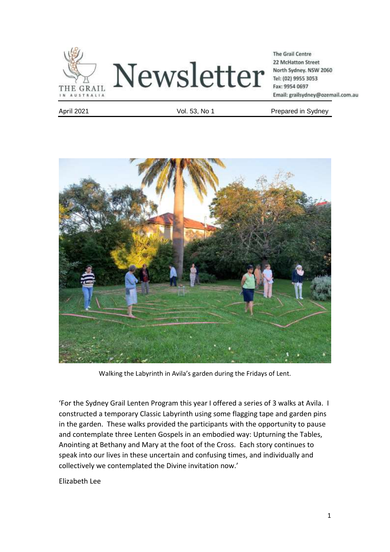



**The Grail Centre** 22 McHatton Street North Sydney. NSW 2060 Tel: (02) 9955 3053 Fax: 9954 0697 Email: grailsydney@ozemail.com.au

April 2021 **April 2021 Vol. 53, No 1** Prepared in Sydney



Walking the Labyrinth in Avila's garden during the Fridays of Lent.

'For the Sydney Grail Lenten Program this year I offered a series of 3 walks at Avila. I constructed a temporary Classic Labyrinth using some flagging tape and garden pins in the garden. These walks provided the participants with the opportunity to pause and contemplate three Lenten Gospels in an embodied way: Upturning the Tables, Anointing at Bethany and Mary at the foot of the Cross. Each story continues to speak into our lives in these uncertain and confusing times, and individually and collectively we contemplated the Divine invitation now.'

Elizabeth Lee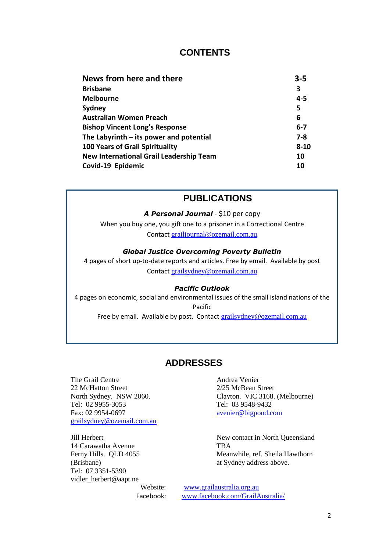# **CONTENTS**

| News from here and there                       | $3 - 5$  |
|------------------------------------------------|----------|
| <b>Brisbane</b>                                | 3        |
| <b>Melbourne</b>                               | $4 - 5$  |
| Sydney                                         | 5        |
| <b>Australian Women Preach</b>                 | 6        |
| <b>Bishop Vincent Long's Response</b>          | $6 - 7$  |
| The Labyrinth $-$ its power and potential      | $7 - 8$  |
| <b>100 Years of Grail Spirituality</b>         | $8 - 10$ |
| <b>New International Grail Leadership Team</b> | 10       |
| Covid-19 Epidemic                              | 10       |
|                                                |          |

# **PUBLICATIONS**

*A Personal Journal* - \$10 per copy

When you buy one, you gift one to a prisoner in a Correctional Centre Contact [grailjournal@ozemail.com.au](mailto:grailjournal@ozemail.com.au)

### *Global Justice Overcoming Poverty Bulletin*

4 pages of short up-to-date reports and articles. Free by email. Available by post Contact [grailsydney@ozemail.com.au](mailto:grailsydney@ozemail.com.au)

#### *Pacific Outlook*

4 pages on economic, social and environmental issues of the small island nations of the Pacific Free by email. Available by post. Contact [grailsydney@ozemail.com.au](mailto:grailsydney@ozemail.com.au)

# **ADDRESSES**

The Grail Centre **Andrea Venier** 22 McHatton Street 2/25 McBean Street Tel: 02 9955-3053 Tel: 03 9548-9432 Fax: 02 9954-0697 [avenier@bigpond.com](mailto:avenier@bigpond.com) [grailsydney@ozemail.com.au](mailto:grailsydney@ozemail.com.au)

14 Carawatha Avenue TBA (Brisbane) at Sydney address above. Tel: 07 3351-5390 vidler\_herbert@aapt.ne

North Sydney. NSW 2060. Clayton. VIC 3168. (Melbourne)

Jill Herbert New contact in North Queensland Ferny Hills. QLD 4055 Meanwhile, ref. Sheila Hawthorn

> Website: [www.grailaustralia.org.au](http://www.grailaustralia.org.au/) Facebook: [www.facebook.com/GrailAustralia/](http://www.facebook.com/GrailAustralia/)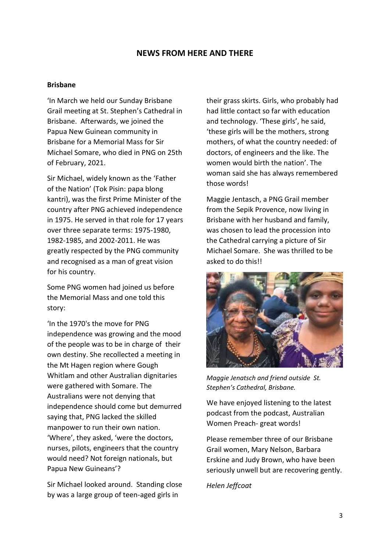### **NEWS FROM HERE AND THERE**

#### **Brisbane**

'In March we held our Sunday Brisbane Grail meeting at St. Stephen's Cathedral in Brisbane. Afterwards, we joined the Papua New Guinean community in Brisbane for a Memorial Mass for Sir Michael Somare, who died in PNG on 25th of February, 2021.

Sir Michael, widely known as the 'Father of the Nation' (Tok Pisin: papa blong kantri), was the first Prime Minister of the country after PNG achieved independence in 1975. He served in that role for 17 years over three separate terms: 1975-1980, 1982-1985, and 2002-2011. He was greatly respected by the PNG community and recognised as a man of great vision for his country.

Some PNG women had joined us before the Memorial Mass and one told this story:

'In the 1970's the move for PNG independence was growing and the mood of the people was to be in charge of their own destiny. She recollected a meeting in the Mt Hagen region where Gough Whitlam and other Australian dignitaries were gathered with Somare. The Australians were not denying that independence should come but demurred saying that, PNG lacked the skilled manpower to run their own nation. 'Where', they asked, 'were the doctors, nurses, pilots, engineers that the country would need? Not foreign nationals, but Papua New Guineans'?

Sir Michael looked around. Standing close by was a large group of teen-aged girls in

their grass skirts. Girls, who probably had had little contact so far with education and technology. 'These girls', he said, 'these girls will be the mothers, strong mothers, of what the country needed: of doctors, of engineers and the like. The women would birth the nation'. The woman said she has always remembered those words!

Maggie Jentasch, a PNG Grail member from the Sepik Provence, now living in Brisbane with her husband and family, was chosen to lead the procession into the Cathedral carrying a picture of Sir Michael Somare. She was thrilled to be asked to do this!!



*Maggie Jenatsch and friend outside St. Stephen's Cathedral, Brisbane.*

We have enjoyed listening to the latest podcast from the podcast, Australian Women Preach- great words!

Please remember three of our Brisbane Grail women, Mary Nelson, Barbara Erskine and Judy Brown, who have been seriously unwell but are recovering gently.

*Helen Jeffcoat*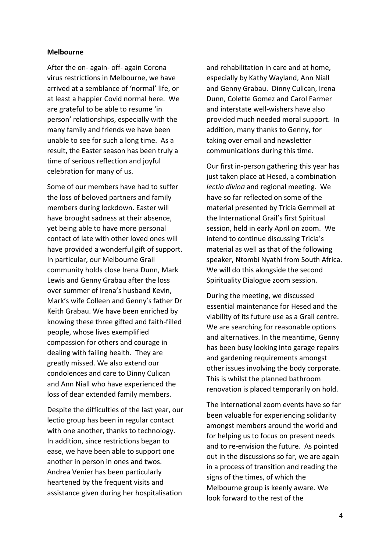#### **Melbourne**

After the on- again- off- again Corona virus restrictions in Melbourne, we have arrived at a semblance of 'normal' life, or at least a happier Covid normal here. We are grateful to be able to resume 'in person' relationships, especially with the many family and friends we have been unable to see for such a long time. As a result, the Easter season has been truly a time of serious reflection and joyful celebration for many of us.

Some of our members have had to suffer the loss of beloved partners and family members during lockdown. Easter will have brought sadness at their absence, yet being able to have more personal contact of late with other loved ones will have provided a wonderful gift of support. In particular, our Melbourne Grail community holds close Irena Dunn, Mark Lewis and Genny Grabau after the loss over summer of Irena's husband Kevin, Mark's wife Colleen and Genny's father Dr Keith Grabau. We have been enriched by knowing these three gifted and faith-filled people, whose lives exemplified compassion for others and courage in dealing with failing health. They are greatly missed. We also extend our condolences and care to Dinny Culican and Ann Niall who have experienced the loss of dear extended family members.

Despite the difficulties of the last year, our lectio group has been in regular contact with one another, thanks to technology. In addition, since restrictions began to ease, we have been able to support one another in person in ones and twos. Andrea Venier has been particularly heartened by the frequent visits and assistance given during her hospitalisation

and rehabilitation in care and at home, especially by Kathy Wayland, Ann Niall and Genny Grabau. Dinny Culican, Irena Dunn, Colette Gomez and Carol Farmer and interstate well-wishers have also provided much needed moral support. In addition, many thanks to Genny, for taking over email and newsletter communications during this time.

Our first in-person gathering this year has just taken place at Hesed, a combination *lectio divina* and regional meeting. We have so far reflected on some of the material presented by Tricia Gemmell at the International Grail's first Spiritual session, held in early April on zoom. We intend to continue discussing Tricia's material as well as that of the following speaker, Ntombi Nyathi from South Africa. We will do this alongside the second Spirituality Dialogue zoom session.

During the meeting, we discussed essential maintenance for Hesed and the viability of its future use as a Grail centre. We are searching for reasonable options and alternatives. In the meantime, Genny has been busy looking into garage repairs and gardening requirements amongst other issues involving the body corporate. This is whilst the planned bathroom renovation is placed temporarily on hold.

The international zoom events have so far been valuable for experiencing solidarity amongst members around the world and for helping us to focus on present needs and to re-envision the future. As pointed out in the discussions so far, we are again in a process of transition and reading the signs of the times, of which the Melbourne group is keenly aware. We look forward to the rest of the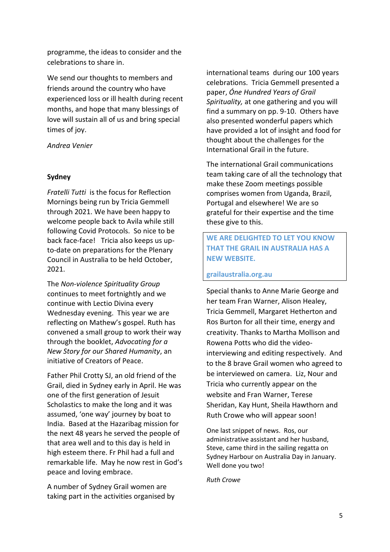programme, the ideas to consider and the celebrations to share in.

We send our thoughts to members and friends around the country who have experienced loss or ill health during recent months, and hope that many blessings of love will sustain all of us and bring special times of joy.

### *Andrea Venier*

### **Sydney**

*Fratelli Tutti* is the focus for Reflection Mornings being run by Tricia Gemmell through 2021. We have been happy to welcome people back to Avila while still following Covid Protocols. So nice to be back face-face! Tricia also keeps us upto-date on preparations for the Plenary Council in Australia to be held October, 2021.

The *Non-violence Spirituality Group* continues to meet fortnightly and we continue with Lectio Divina every Wednesday evening. This year we are reflecting on Mathew's gospel. Ruth has convened a small group to work their way through the booklet, *Advocating for a New Story for our Shared Humanity*, an initiative of Creators of Peace.

Father Phil Crotty SJ, an old friend of the Grail, died in Sydney early in April. He was one of the first generation of Jesuit Scholastics to make the long and it was assumed, 'one way' journey by boat to India. Based at the Hazaribag mission for the next 48 years he served the people of that area well and to this day is held in high esteem there. Fr Phil had a full and remarkable life. May he now rest in God's peace and loving embrace.

A number of Sydney Grail women are taking part in the activities organised by international teams during our 100 years celebrations. Tricia Gemmell presented a paper, *Óne Hundred Years of Grail Spirituality,* at one gathering and you will find a summary on pp. 9-10. Others have also presented wonderful papers which have provided a lot of insight and food for thought about the challenges for the International Grail in the future.

The international Grail communications team taking care of all the technology that make these Zoom meetings possible comprises women from Uganda, Brazil, Portugal and elsewhere! We are so grateful for their expertise and the time these give to this.

# **WE ARE DELIGHTED TO LET YOU KNOW THAT THE GRAIL IN AUSTRALIA HAS A NEW WEBSITE.**

### **grailaustralia.org.au**

Special thanks to Anne Marie George and her team Fran Warner, Alison Healey, Tricia Gemmell, Margaret Hetherton and Ros Burton for all their time, energy and creativity. Thanks to Martha Mollison and Rowena Potts who did the videointerviewing and editing respectively. And to the 8 brave Grail women who agreed to be interviewed on camera. Liz, Nour and Tricia who currently appear on the website and Fran Warner, Terese Sheridan, Kay Hunt, Sheila Hawthorn and Ruth Crowe who will appear soon!

One last snippet of news. Ros, our administrative assistant and her husband, Steve, came third in the sailing regatta on Sydney Harbour on Australia Day in January. Well done you two!

*Ruth Crowe*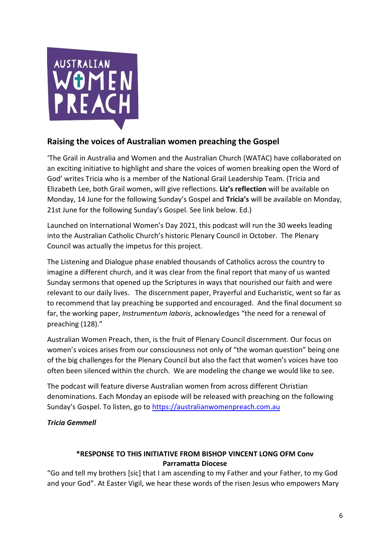

# **Raising the voices of Australian women preaching the Gospel**

'The Grail in Australia and Women and the Australian Church (WATAC) have collaborated on an exciting initiative to highlight and share the voices of women breaking open the Word of God' writes Tricia who is a member of the National Grail Leadership Team. (Tricia and Elizabeth Lee, both Grail women, will give reflections. **Liz's reflection** will be available on Monday, 14 June for the following Sunday's Gospel and **Tricia's** will be available on Monday, 21st June for the following Sunday's Gospel. See link below. Ed.)

Launched on International Women's Day 2021, this podcast will run the 30 weeks leading into the Australian Catholic Church's historic Plenary Council in October. The Plenary Council was actually the impetus for this project.

The Listening and Dialogue phase enabled thousands of Catholics across the country to imagine a different church, and it was clear from the final report that many of us wanted Sunday sermons that opened up the Scriptures in ways that nourished our faith and were relevant to our daily lives. The discernment paper, Prayerful and Eucharistic, went so far as to recommend that lay preaching be supported and encouraged. And the final document so far, the working paper, *Instrumentum laboris*, acknowledges "the need for a renewal of preaching (128)."

Australian Women Preach, then, is the fruit of Plenary Council discernment. Our focus on women's voices arises from our consciousness not only of "the woman question" being one of the big challenges for the Plenary Council but also the fact that women's voices have too often been silenced within the church. We are modeling the change we would like to see.

The podcast will feature diverse Australian women from across different Christian denominations. Each Monday an episode will be released with preaching on the following Sunday's Gospel. To listen, go to [https://australianwomenpreach.com.au](https://australianwomenpreach.com.au/)

*Tricia Gemmell*

# **\*RESPONSE TO THIS INITIATIVE FROM BISHOP VINCENT LONG OFM Conv Parramatta Diocese**

"Go and tell my brothers [sic] that I am ascending to my Father and your Father, to my God and your God". At Easter Vigil, we hear these words of the risen Jesus who empowers Mary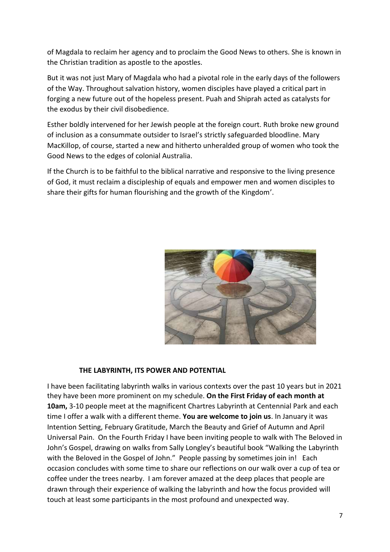of Magdala to reclaim her agency and to proclaim the Good News to others. She is known in the Christian tradition as apostle to the apostles.

But it was not just Mary of Magdala who had a pivotal role in the early days of the followers of the Way. Throughout salvation history, women disciples have played a critical part in forging a new future out of the hopeless present. Puah and Shiprah acted as catalysts for the exodus by their civil disobedience.

Esther boldly intervened for her Jewish people at the foreign court. Ruth broke new ground of inclusion as a consummate outsider to Israel's strictly safeguarded bloodline. Mary MacKillop, of course, started a new and hitherto unheralded group of women who took the Good News to the edges of colonial Australia.

If the Church is to be faithful to the biblical narrative and responsive to the living presence of God, it must reclaim a discipleship of equals and empower men and women disciples to share their gifts for human flourishing and the growth of the Kingdom'.



### **THE LABYRINTH, ITS POWER AND POTENTIAL**

I have been facilitating labyrinth walks in various contexts over the past 10 years but in 2021 they have been more prominent on my schedule. **On the First Friday of each month at 10am,** 3-10 people meet at the magnificent Chartres Labyrinth at Centennial Park and each time I offer a walk with a different theme. **You are welcome to join us**. In January it was Intention Setting, February Gratitude, March the Beauty and Grief of Autumn and April Universal Pain. On the Fourth Friday I have been inviting people to walk with The Beloved in John's Gospel, drawing on walks from Sally Longley's beautiful book "Walking the Labyrinth with the Beloved in the Gospel of John." People passing by sometimes join in! Each occasion concludes with some time to share our reflections on our walk over a cup of tea or coffee under the trees nearby. I am forever amazed at the deep places that people are drawn through their experience of walking the labyrinth and how the focus provided will touch at least some participants in the most profound and unexpected way.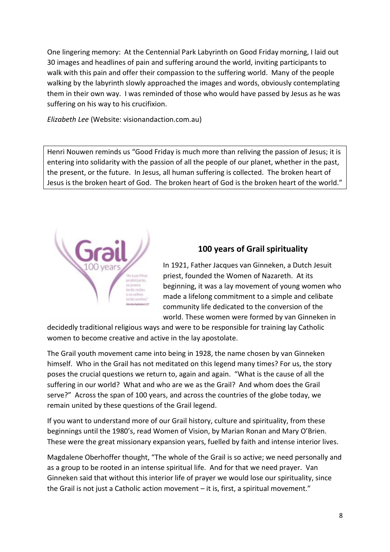One lingering memory: At the Centennial Park Labyrinth on Good Friday morning, I laid out 30 images and headlines of pain and suffering around the world, inviting participants to walk with this pain and offer their compassion to the suffering world. Many of the people walking by the labyrinth slowly approached the images and words, obviously contemplating them in their own way. I was reminded of those who would have passed by Jesus as he was suffering on his way to his crucifixion.

*Elizabeth Lee* (Website: visionandaction.com.au)

Henri Nouwen reminds us "Good Friday is much more than reliving the passion of Jesus; it is entering into solidarity with the passion of all the people of our planet, whether in the past, the present, or the future. In Jesus, all human suffering is collected. The broken heart of Jesus is the broken heart of God. The broken heart of God is the broken heart of the world."



# **100 years of Grail spirituality**

In 1921, Father Jacques van Ginneken, a Dutch Jesuit priest, founded the Women of Nazareth. At its beginning, it was a lay movement of young women who made a lifelong commitment to a simple and celibate community life dedicated to the conversion of the world. These women were formed by van Ginneken in

decidedly traditional religious ways and were to be responsible for training lay Catholic women to become creative and active in the lay apostolate.

The Grail youth movement came into being in 1928, the name chosen by van Ginneken himself. Who in the Grail has not meditated on this legend many times? For us, the story poses the crucial questions we return to, again and again. "What is the cause of all the suffering in our world? What and who are we as the Grail? And whom does the Grail serve?" Across the span of 100 years, and across the countries of the globe today, we remain united by these questions of the Grail legend.

If you want to understand more of our Grail history, culture and spirituality, from these beginnings until the 1980's, read Women of Vision, by Marian Ronan and Mary O'Brien. These were the great missionary expansion years, fuelled by faith and intense interior lives.

Magdalene Oberhoffer thought, "The whole of the Grail is so active; we need personally and as a group to be rooted in an intense spiritual life. And for that we need prayer. Van Ginneken said that without this interior life of prayer we would lose our spirituality, since the Grail is not just a Catholic action movement – it is, first, a spiritual movement."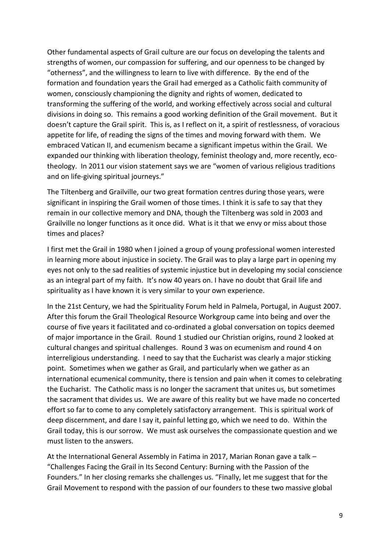Other fundamental aspects of Grail culture are our focus on developing the talents and strengths of women, our compassion for suffering, and our openness to be changed by "otherness", and the willingness to learn to live with difference. By the end of the formation and foundation years the Grail had emerged as a Catholic faith community of women, consciously championing the dignity and rights of women, dedicated to transforming the suffering of the world, and working effectively across social and cultural divisions in doing so. This remains a good working definition of the Grail movement. But it doesn't capture the Grail spirit. This is, as I reflect on it, a spirit of restlessness, of voracious appetite for life, of reading the signs of the times and moving forward with them. We embraced Vatican II, and ecumenism became a significant impetus within the Grail. We expanded our thinking with liberation theology, feminist theology and, more recently, ecotheology. In 2011 our vision statement says we are "women of various religious traditions and on life-giving spiritual journeys."

The Tiltenberg and Grailville, our two great formation centres during those years, were significant in inspiring the Grail women of those times. I think it is safe to say that they remain in our collective memory and DNA, though the Tiltenberg was sold in 2003 and Grailville no longer functions as it once did. What is it that we envy or miss about those times and places?

I first met the Grail in 1980 when I joined a group of young professional women interested in learning more about injustice in society. The Grail was to play a large part in opening my eyes not only to the sad realities of systemic injustice but in developing my social conscience as an integral part of my faith. It's now 40 years on. I have no doubt that Grail life and spirituality as I have known it is very similar to your own experience.

In the 21st Century, we had the Spirituality Forum held in Palmela, Portugal, in August 2007. After this forum the Grail Theological Resource Workgroup came into being and over the course of five years it facilitated and co-ordinated a global conversation on topics deemed of major importance in the Grail. Round 1 studied our Christian origins, round 2 looked at cultural changes and spiritual challenges. Round 3 was on ecumenism and round 4 on interreligious understanding. I need to say that the Eucharist was clearly a major sticking point. Sometimes when we gather as Grail, and particularly when we gather as an international ecumenical community, there is tension and pain when it comes to celebrating the Eucharist. The Catholic mass is no longer the sacrament that unites us, but sometimes the sacrament that divides us. We are aware of this reality but we have made no concerted effort so far to come to any completely satisfactory arrangement. This is spiritual work of deep discernment, and dare I say it, painful letting go, which we need to do. Within the Grail today, this is our sorrow. We must ask ourselves the compassionate question and we must listen to the answers.

At the International General Assembly in Fatima in 2017, Marian Ronan gave a talk – "Challenges Facing the Grail in Its Second Century: Burning with the Passion of the Founders." In her closing remarks she challenges us. "Finally, let me suggest that for the Grail Movement to respond with the passion of our founders to these two massive global